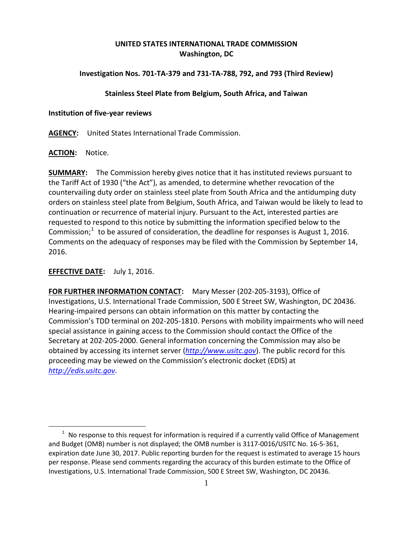# **UNITED STATES INTERNATIONAL TRADE COMMISSION Washington, DC**

# **Investigation Nos. 701-TA-379 and 731-TA-788, 792, and 793 (Third Review)**

### **Stainless Steel Plate from Belgium, South Africa, and Taiwan**

### **Institution of five-year reviews**

**AGENCY:** United States International Trade Commission.

### **ACTION:** Notice.

**SUMMARY:** The Commission hereby gives notice that it has instituted reviews pursuant to the Tariff Act of 1930 ("the Act"), as amended, to determine whether revocation of the countervailing duty order on stainless steel plate from South Africa and the antidumping duty orders on stainless steel plate from Belgium, South Africa, and Taiwan would be likely to lead to continuation or recurrence of material injury. Pursuant to the Act, interested parties are requested to respond to this notice by submitting the information specified below to the Commission; $1$  to be assured of consideration, the deadline for responses is August 1, 2016. Comments on the adequacy of responses may be filed with the Commission by September 14, 2016.

## **EFFECTIVE DATE:** July 1, 2016.

**FOR FURTHER INFORMATION CONTACT:** Mary Messer (202-205-3193), Office of Investigations, U.S. International Trade Commission, 500 E Street SW, Washington, DC 20436. Hearing-impaired persons can obtain information on this matter by contacting the Commission's TDD terminal on 202-205-1810. Persons with mobility impairments who will need special assistance in gaining access to the Commission should contact the Office of the Secretary at 202-205-2000. General information concerning the Commission may also be obtained by accessing its internet server (*[http://www.usitc.gov](http://www.usitc.gov/)*). The public record for this proceeding may be viewed on the Commission's electronic docket (EDIS) at *[http://edis.usitc.gov](http://edis.usitc.gov/)*.

<span id="page-0-0"></span> $\overline{a}$  $1$  No response to this request for information is required if a currently valid Office of Management and Budget (OMB) number is not displayed; the OMB number is 3117-0016/USITC No. 16-5-361, expiration date June 30, 2017. Public reporting burden for the request is estimated to average 15 hours per response. Please send comments regarding the accuracy of this burden estimate to the Office of Investigations, U.S. International Trade Commission, 500 E Street SW, Washington, DC 20436.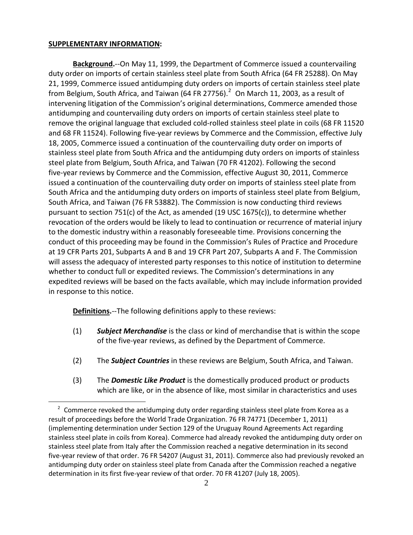#### **SUPPLEMENTARY INFORMATION:**

 $\overline{a}$ 

**Background.**--On May 11, 1999, the Department of Commerce issued a countervailing duty order on imports of certain stainless steel plate from South Africa (64 FR 25288). On May 21, 1999, Commerce issued antidumping duty orders on imports of certain stainless steel plate from Belgium, South Africa, and Taiwan (64 FR [2](#page-1-0)7756). $^2$  On March 11, 2003, as a result of intervening litigation of the Commission's original determinations, Commerce amended those antidumping and countervailing duty orders on imports of certain stainless steel plate to remove the original language that excluded cold-rolled stainless steel plate in coils (68 FR 11520 and 68 FR 11524). Following five-year reviews by Commerce and the Commission, effective July 18, 2005, Commerce issued a continuation of the countervailing duty order on imports of stainless steel plate from South Africa and the antidumping duty orders on imports of stainless steel plate from Belgium, South Africa, and Taiwan (70 FR 41202). Following the second five-year reviews by Commerce and the Commission, effective August 30, 2011, Commerce issued a continuation of the countervailing duty order on imports of stainless steel plate from South Africa and the antidumping duty orders on imports of stainless steel plate from Belgium, South Africa, and Taiwan (76 FR 53882). The Commission is now conducting third reviews pursuant to section 751(c) of the Act, as amended (19 USC 1675(c)), to determine whether revocation of the orders would be likely to lead to continuation or recurrence of material injury to the domestic industry within a reasonably foreseeable time. Provisions concerning the conduct of this proceeding may be found in the Commission's Rules of Practice and Procedure at 19 CFR Parts 201, Subparts A and B and 19 CFR Part 207, Subparts A and F. The Commission will assess the adequacy of interested party responses to this notice of institution to determine whether to conduct full or expedited reviews. The Commission's determinations in any expedited reviews will be based on the facts available, which may include information provided in response to this notice.

**Definitions.**--The following definitions apply to these reviews:

- (1) *Subject Merchandise* is the class or kind of merchandise that is within the scope of the five-year reviews, as defined by the Department of Commerce.
- (2) The *Subject Countries* in these reviews are Belgium, South Africa, and Taiwan.
- (3) The *Domestic Like Product* is the domestically produced product or products which are like, or in the absence of like, most similar in characteristics and uses

<span id="page-1-0"></span> $2\degree$  Commerce revoked the antidumping duty order regarding stainless steel plate from Korea as a result of proceedings before the World Trade Organization. 76 FR 74771 (December 1, 2011) (implementing determination under Section 129 of the Uruguay Round Agreements Act regarding stainless steel plate in coils from Korea). Commerce had already revoked the antidumping duty order on stainless steel plate from Italy after the Commission reached a negative determination in its second five-year review of that order. 76 FR 54207 (August 31, 2011). Commerce also had previously revoked an antidumping duty order on stainless steel plate from Canada after the Commission reached a negative determination in its first five-year review of that order. 70 FR 41207 (July 18, 2005).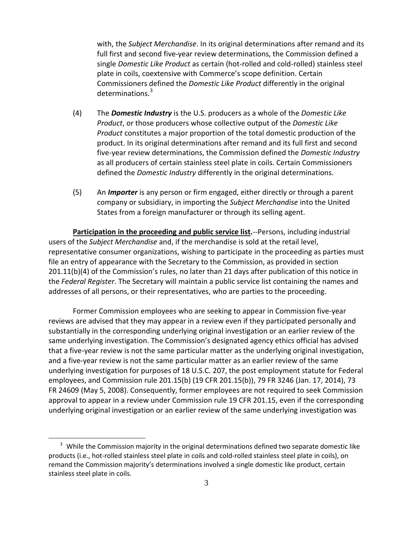with, the *Subject Merchandise*. In its original determinations after remand and its full first and second five-year review determinations, the Commission defined a single *Domestic Like Product* as certain (hot-rolled and cold-rolled) stainless steel plate in coils, coextensive with Commerce's scope definition. Certain Commissioners defined the *Domestic Like Product* differently in the original determinations.[3](#page-2-0)

- (4) The *Domestic Industry* is the U.S. producers as a whole of the *Domestic Like Product*, or those producers whose collective output of the *Domestic Like Product* constitutes a major proportion of the total domestic production of the product. In its original determinations after remand and its full first and second five-year review determinations, the Commission defined the *Domestic Industry* as all producers of certain stainless steel plate in coils. Certain Commissioners defined the *Domestic Industry* differently in the original determinations.
- (5) An *Importer* is any person or firm engaged, either directly or through a parent company or subsidiary, in importing the *Subject Merchandise* into the United States from a foreign manufacturer or through its selling agent.

**Participation in the proceeding and public service list.**--Persons, including industrial users of the *Subject Merchandise* and, if the merchandise is sold at the retail level, representative consumer organizations, wishing to participate in the proceeding as parties must file an entry of appearance with the Secretary to the Commission, as provided in section 201.11(b)(4) of the Commission's rules, no later than 21 days after publication of this notice in the *Federal Register*. The Secretary will maintain a public service list containing the names and addresses of all persons, or their representatives, who are parties to the proceeding.

Former Commission employees who are seeking to appear in Commission five-year reviews are advised that they may appear in a review even if they participated personally and substantially in the corresponding underlying original investigation or an earlier review of the same underlying investigation. The Commission's designated agency ethics official has advised that a five-year review is not the same particular matter as the underlying original investigation, and a five-year review is not the same particular matter as an earlier review of the same underlying investigation for purposes of 18 U.S.C. 207, the post employment statute for Federal employees, and Commission rule 201.15(b) (19 CFR 201.15(b)), 79 FR 3246 (Jan. 17, 2014), 73 FR 24609 (May 5, 2008). Consequently, former employees are not required to seek Commission approval to appear in a review under Commission rule 19 CFR 201.15, even if the corresponding underlying original investigation or an earlier review of the same underlying investigation was

 $\overline{a}$ 

<span id="page-2-0"></span><sup>&</sup>lt;sup>3</sup> While the Commission majority in the original determinations defined two separate domestic like products (i.e., hot-rolled stainless steel plate in coils and cold-rolled stainless steel plate in coils), on remand the Commission majority's determinations involved a single domestic like product, certain stainless steel plate in coils.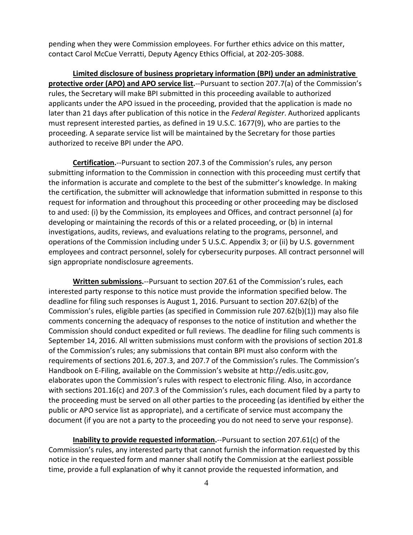pending when they were Commission employees. For further ethics advice on this matter, contact Carol McCue Verratti, Deputy Agency Ethics Official, at 202-205-3088.

**Limited disclosure of business proprietary information (BPI) under an administrative protective order (APO) and APO service list.**--Pursuant to section 207.7(a) of the Commission's rules, the Secretary will make BPI submitted in this proceeding available to authorized applicants under the APO issued in the proceeding, provided that the application is made no later than 21 days after publication of this notice in the *Federal Register*. Authorized applicants must represent interested parties, as defined in 19 U.S.C. 1677(9), who are parties to the proceeding. A separate service list will be maintained by the Secretary for those parties authorized to receive BPI under the APO.

**Certification.**--Pursuant to section 207.3 of the Commission's rules, any person submitting information to the Commission in connection with this proceeding must certify that the information is accurate and complete to the best of the submitter's knowledge. In making the certification, the submitter will acknowledge that information submitted in response to this request for information and throughout this proceeding or other proceeding may be disclosed to and used: (i) by the Commission, its employees and Offices, and contract personnel (a) for developing or maintaining the records of this or a related proceeding, or (b) in internal investigations, audits, reviews, and evaluations relating to the programs, personnel, and operations of the Commission including under 5 U.S.C. Appendix 3; or (ii) by U.S. government employees and contract personnel, solely for cybersecurity purposes. All contract personnel will sign appropriate nondisclosure agreements.

**Written submissions.**--Pursuant to section 207.61 of the Commission's rules, each interested party response to this notice must provide the information specified below. The deadline for filing such responses is August 1, 2016. Pursuant to section 207.62(b) of the Commission's rules, eligible parties (as specified in Commission rule 207.62(b)(1)) may also file comments concerning the adequacy of responses to the notice of institution and whether the Commission should conduct expedited or full reviews. The deadline for filing such comments is September 14, 2016. All written submissions must conform with the provisions of section 201.8 of the Commission's rules; any submissions that contain BPI must also conform with the requirements of sections 201.6, 207.3, and 207.7 of the Commission's rules. The Commission's Handbook on E-Filing, available on the Commission's website at http://edis.usitc.gov, elaborates upon the Commission's rules with respect to electronic filing. Also, in accordance with sections 201.16(c) and 207.3 of the Commission's rules, each document filed by a party to the proceeding must be served on all other parties to the proceeding (as identified by either the public or APO service list as appropriate), and a certificate of service must accompany the document (if you are not a party to the proceeding you do not need to serve your response).

**Inability to provide requested information.**--Pursuant to section 207.61(c) of the Commission's rules, any interested party that cannot furnish the information requested by this notice in the requested form and manner shall notify the Commission at the earliest possible time, provide a full explanation of why it cannot provide the requested information, and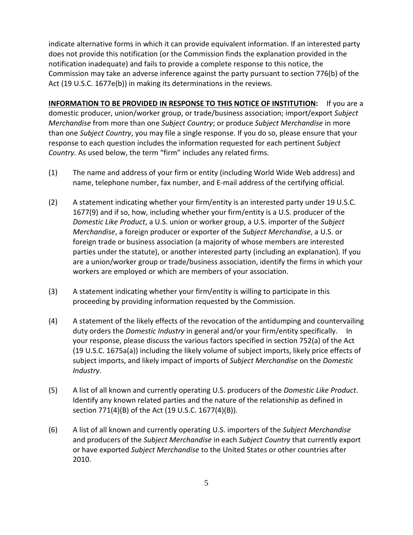indicate alternative forms in which it can provide equivalent information. If an interested party does not provide this notification (or the Commission finds the explanation provided in the notification inadequate) and fails to provide a complete response to this notice, the Commission may take an adverse inference against the party pursuant to section 776(b) of the Act (19 U.S.C. 1677e(b)) in making its determinations in the reviews.

**INFORMATION TO BE PROVIDED IN RESPONSE TO THIS NOTICE OF INSTITUTION:** If you are a domestic producer, union/worker group, or trade/business association; import/export *Subject Merchandise* from more than one *Subject Country*; or produce *Subject Merchandise* in more than one *Subject Country*, you may file a single response. If you do so, please ensure that your response to each question includes the information requested for each pertinent *Subject Country.* As used below, the term "firm" includes any related firms.

- (1) The name and address of your firm or entity (including World Wide Web address) and name, telephone number, fax number, and E-mail address of the certifying official.
- (2) A statement indicating whether your firm/entity is an interested party under 19 U.S.C. 1677(9) and if so, how, including whether your firm/entity is a U.S. producer of the *Domestic Like Product*, a U.S. union or worker group, a U.S. importer of the *Subject Merchandise*, a foreign producer or exporter of the *Subject Merchandise*, a U.S. or foreign trade or business association (a majority of whose members are interested parties under the statute), or another interested party (including an explanation). If you are a union/worker group or trade/business association, identify the firms in which your workers are employed or which are members of your association.
- (3) A statement indicating whether your firm/entity is willing to participate in this proceeding by providing information requested by the Commission.
- (4) A statement of the likely effects of the revocation of the antidumping and countervailing duty orders the *Domestic Industry* in general and/or your firm/entity specifically. In your response, please discuss the various factors specified in section 752(a) of the Act (19 U.S.C. 1675a(a)) including the likely volume of subject imports, likely price effects of subject imports, and likely impact of imports of *Subject Merchandise* on the *Domestic Industry*.
- (5) A list of all known and currently operating U.S. producers of the *Domestic Like Product*. Identify any known related parties and the nature of the relationship as defined in section 771(4)(B) of the Act (19 U.S.C. 1677(4)(B)).
- (6) A list of all known and currently operating U.S. importers of the *Subject Merchandise* and producers of the *Subject Merchandise* in each *Subject Country* that currently export or have exported *Subject Merchandise* to the United States or other countries after 2010.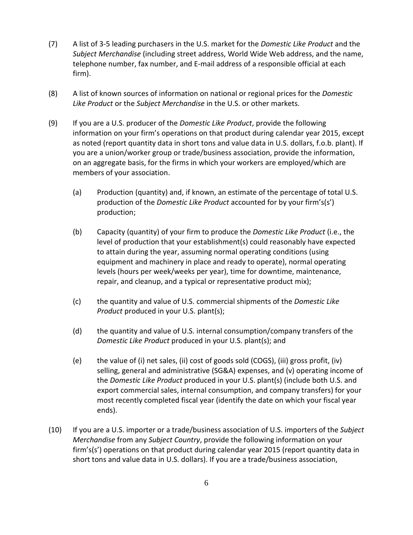- (7) A list of 3-5 leading purchasers in the U.S. market for the *Domestic Like Product* and the *Subject Merchandise* (including street address, World Wide Web address, and the name, telephone number, fax number, and E-mail address of a responsible official at each firm).
- (8) A list of known sources of information on national or regional prices for the *Domestic Like Product* or the *Subject Merchandise* in the U.S. or other markets.
- (9) If you are a U.S. producer of the *Domestic Like Product*, provide the following information on your firm's operations on that product during calendar year 2015, except as noted (report quantity data in short tons and value data in U.S. dollars, f.o.b. plant). If you are a union/worker group or trade/business association, provide the information, on an aggregate basis, for the firms in which your workers are employed/which are members of your association.
	- (a) Production (quantity) and, if known, an estimate of the percentage of total U.S. production of the *Domestic Like Product* accounted for by your firm's(s') production;
	- (b) Capacity (quantity) of your firm to produce the *Domestic Like Product* (i.e., the level of production that your establishment(s) could reasonably have expected to attain during the year, assuming normal operating conditions (using equipment and machinery in place and ready to operate), normal operating levels (hours per week/weeks per year), time for downtime, maintenance, repair, and cleanup, and a typical or representative product mix);
	- (c) the quantity and value of U.S. commercial shipments of the *Domestic Like Product* produced in your U.S. plant(s);
	- (d) the quantity and value of U.S. internal consumption/company transfers of the *Domestic Like Product* produced in your U.S. plant(s); and
	- (e) the value of (i) net sales, (ii) cost of goods sold (COGS), (iii) gross profit, (iv) selling, general and administrative (SG&A) expenses, and (v) operating income of the *Domestic Like Product* produced in your U.S. plant(s) (include both U.S. and export commercial sales, internal consumption, and company transfers) for your most recently completed fiscal year (identify the date on which your fiscal year ends).
- (10) If you are a U.S. importer or a trade/business association of U.S. importers of the *Subject Merchandise* from any *Subject Country*, provide the following information on your firm's(s') operations on that product during calendar year 2015 (report quantity data in short tons and value data in U.S. dollars). If you are a trade/business association,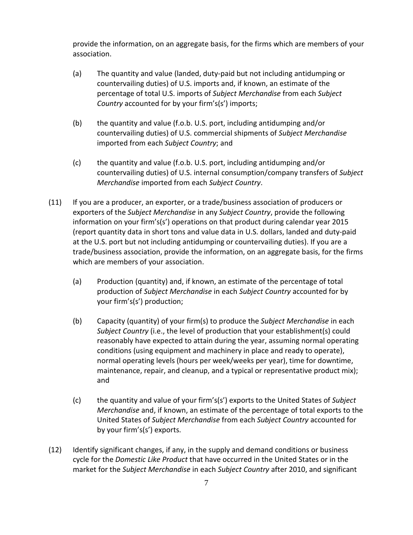provide the information, on an aggregate basis, for the firms which are members of your association.

- (a) The quantity and value (landed, duty-paid but not including antidumping or countervailing duties) of U.S. imports and, if known, an estimate of the percentage of total U.S. imports of *Subject Merchandise* from each *Subject Country* accounted for by your firm's(s') imports;
- (b) the quantity and value (f.o.b. U.S. port, including antidumping and/or countervailing duties) of U.S. commercial shipments of *Subject Merchandise* imported from each *Subject Country*; and
- (c) the quantity and value (f.o.b. U.S. port, including antidumping and/or countervailing duties) of U.S. internal consumption/company transfers of *Subject Merchandise* imported from each *Subject Country*.
- (11) If you are a producer, an exporter, or a trade/business association of producers or exporters of the *Subject Merchandise* in any *Subject Country*, provide the following information on your firm's(s') operations on that product during calendar year 2015 (report quantity data in short tons and value data in U.S. dollars, landed and duty-paid at the U.S. port but not including antidumping or countervailing duties). If you are a trade/business association, provide the information, on an aggregate basis, for the firms which are members of your association.
	- (a) Production (quantity) and, if known, an estimate of the percentage of total production of *Subject Merchandise* in each *Subject Country* accounted for by your firm's(s') production;
	- (b) Capacity (quantity) of your firm(s) to produce the *Subject Merchandise* in each *Subject Country* (i.e., the level of production that your establishment(s) could reasonably have expected to attain during the year, assuming normal operating conditions (using equipment and machinery in place and ready to operate), normal operating levels (hours per week/weeks per year), time for downtime, maintenance, repair, and cleanup, and a typical or representative product mix); and
	- (c) the quantity and value of your firm's(s') exports to the United States of *Subject Merchandise* and, if known, an estimate of the percentage of total exports to the United States of *Subject Merchandise* from each *Subject Country* accounted for by your firm's(s') exports.
- (12) Identify significant changes, if any, in the supply and demand conditions or business cycle for the *Domestic Like Product* that have occurred in the United States or in the market for the *Subject Merchandise* in each *Subject Country* after 2010, and significant